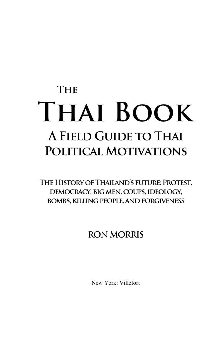# **The Thai Book A Field Guide to Thai Political Motivations**

**The History of Thailand's future: Protest, democracy, big men, coups, ideology, bombs, killing people, and forgiveness** 

## **RON MORRIS**

New York: Villefort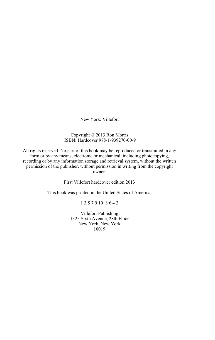New York: Villefort

#### Copyright © 2013 Ron Morris ISBN: Hardcover 978-1-939270-00-9

All rights reserved. No part of this book may be reproduced or transmitted in any form or by any means, electronic or mechanical, including photocopying, recording or by any information storage and retrieval system, without the written permission of the publisher, without permission in writing from the copyright owner.

First Villefort hardcover edition 2013

This book was printed in the United States of America.

1 3 5 7 9 10 8 6 4 2

Villefort Publishing 1325 Sixth Avenue, 28th Floor New York, New York 10019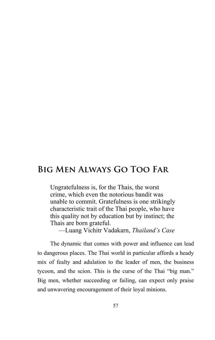Ungratefulness is, for the Thais, the worst crime, which even the notorious bandit was unable to commit. Gratefulness is one strikingly characteristic trait of the Thai people, who have this quality not by education but by instinct; the Thais are born grateful.

—Luang Vichitr Vadakarn, *Thailand's Case*

The dynamic that comes with power and influence can lead to dangerous places. The Thai world in particular affords a heady mix of fealty and adulation to the leader of men, the business tycoon, and the scion. This is the curse of the Thai "big man." Big men, whether succeeding or failing, can expect only praise and unwavering encouragement of their loyal minions.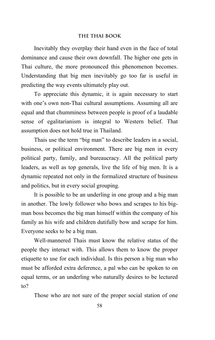#### **THE THAI BOOK**

Inevitably they overplay their hand even in the face of total dominance and cause their own downfall. The higher one gets in Thai culture, the more pronounced this phenomenon becomes. Understanding that big men inevitably go too far is useful in predicting the way events ultimately play out.

To appreciate this dynamic, it is again necessary to start with one's own non-Thai cultural assumptions. Assuming all are equal and that chumminess between people is proof of a laudable sense of egalitarianism is integral to Western belief. That assumption does not hold true in Thailand.

Thais use the term "big man" to describe leaders in a social, business, or political environment. There are big men in every political party, family, and bureaucracy. All the political party leaders, as well as top generals, live the life of big men. It is a dynamic repeated not only in the formalized structure of business and politics, but in every social grouping.

It is possible to be an underling in one group and a big man in another. The lowly follower who bows and scrapes to his bigman boss becomes the big man himself within the company of his family as his wife and children dutifully bow and scrape for him. Everyone seeks to be a big man.

Well-mannered Thais must know the relative status of the people they interact with. This allows them to know the proper etiquette to use for each individual. Is this person a big man who must be afforded extra deference, a pal who can be spoken to on equal terms, or an underling who naturally desires to be lectured to?

Those who are not sure of the proper social station of one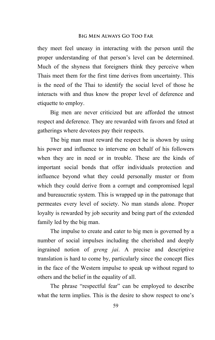they meet feel uneasy in interacting with the person until the proper understanding of that person's level can be determined. Much of the shyness that foreigners think they perceive when Thais meet them for the first time derives from uncertainty. This is the need of the Thai to identify the social level of those he interacts with and thus know the proper level of deference and etiquette to employ.

Big men are never criticized but are afforded the utmost respect and deference. They are rewarded with favors and feted at gatherings where devotees pay their respects.

The big man must reward the respect he is shown by using his power and influence to intervene on behalf of his followers when they are in need or in trouble. These are the kinds of important social bonds that offer individuals protection and influence beyond what they could personally muster or from which they could derive from a corrupt and compromised legal and bureaucratic system. This is wrapped up in the patronage that permeates every level of society. No man stands alone. Proper loyalty is rewarded by job security and being part of the extended family led by the big man.

The impulse to create and cater to big men is governed by a number of social impulses including the cherished and deeply ingrained notion of *greng jai*. A precise and descriptive translation is hard to come by, particularly since the concept flies in the face of the Western impulse to speak up without regard to others and the belief in the equality of all.

The phrase "respectful fear" can be employed to describe what the term implies. This is the desire to show respect to one's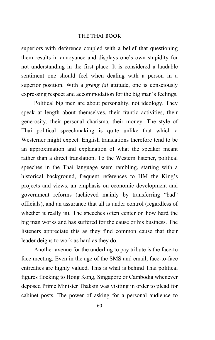#### **THE THAI BOOK**

superiors with deference coupled with a belief that questioning them results in annoyance and displays one's own stupidity for not understanding in the first place. It is considered a laudable sentiment one should feel when dealing with a person in a superior position. With a *greng jai* attitude, one is consciously expressing respect and accommodation for the big man's feelings.

Political big men are about personality, not ideology. They speak at length about themselves, their frantic activities, their generosity, their personal charisma, their money. The style of Thai political speechmaking is quite unlike that which a Westerner might expect. English translations therefore tend to be an approximation and explanation of what the speaker meant rather than a direct translation. To the Western listener, political speeches in the Thai language seem rambling, starting with a historical background, frequent references to HM the King's projects and views, an emphasis on economic development and government reforms (achieved mainly by transferring "bad" officials), and an assurance that all is under control (regardless of whether it really is). The speeches often center on how hard the big man works and has suffered for the cause or his business. The listeners appreciate this as they find common cause that their leader deigns to work as hard as they do.

Another avenue for the underling to pay tribute is the face-to face meeting. Even in the age of the SMS and email, face-to-face entreaties are highly valued. This is what is behind Thai political figures flocking to Hong Kong, Singapore or Cambodia whenever deposed Prime Minister Thaksin was visiting in order to plead for cabinet posts. The power of asking for a personal audience to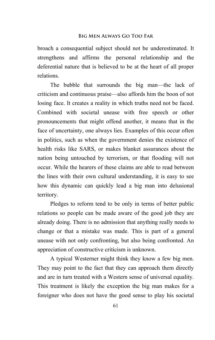broach a consequential subject should not be underestimated. It strengthens and affirms the personal relationship and the deferential nature that is believed to be at the heart of all proper relations.

The bubble that surrounds the big man—the lack of criticism and continuous praise—also affords him the boon of not losing face. It creates a reality in which truths need not be faced. Combined with societal unease with free speech or other pronouncements that might offend another, it means that in the face of uncertainty, one always lies. Examples of this occur often in politics, such as when the government denies the existence of health risks like SARS, or makes blanket assurances about the nation being untouched by terrorism, or that flooding will not occur. While the hearers of these claims are able to read between the lines with their own cultural understanding, it is easy to see how this dynamic can quickly lead a big man into delusional territory.

Pledges to reform tend to be only in terms of better public relations so people can be made aware of the good job they are already doing. There is no admission that anything really needs to change or that a mistake was made. This is part of a general unease with not only confronting, but also being confronted. An appreciation of constructive criticism is unknown.

A typical Westerner might think they know a few big men. They may point to the fact that they can approach them directly and are in turn treated with a Western sense of universal equality. This treatment is likely the exception the big man makes for a foreigner who does not have the good sense to play his societal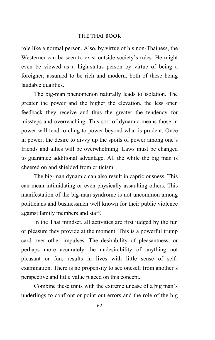#### **THE THAI BOOK**

role like a normal person. Also, by virtue of his non-Thainess, the Westerner can be seen to exist outside society's rules. He might even be viewed as a high-status person by virtue of being a foreigner, assumed to be rich and modern, both of these being laudable qualities.

The big-man phenomenon naturally leads to isolation. The greater the power and the higher the elevation, the less open feedback they receive and thus the greater the tendency for missteps and overreaching. This sort of dynamic means those in power will tend to cling to power beyond what is prudent. Once in power, the desire to divvy up the spoils of power among one's friends and allies will be overwhelming. Laws must be changed to guarantee additional advantage. All the while the big man is cheered on and shielded from criticism.

The big-man dynamic can also result in capriciousness. This can mean intimidating or even physically assaulting others. This manifestation of the big-man syndrome is not uncommon among politicians and businessmen well known for their public violence against family members and staff.

In the Thai mindset, all activities are first judged by the fun or pleasure they provide at the moment. This is a powerful trump card over other impulses. The desirability of pleasantness, or perhaps more accurately the undesirability of anything not pleasant or fun, results in lives with little sense of selfexamination. There is no propensity to see oneself from another's perspective and little value placed on this concept.

Combine these traits with the extreme unease of a big man's underlings to confront or point out errors and the role of the big